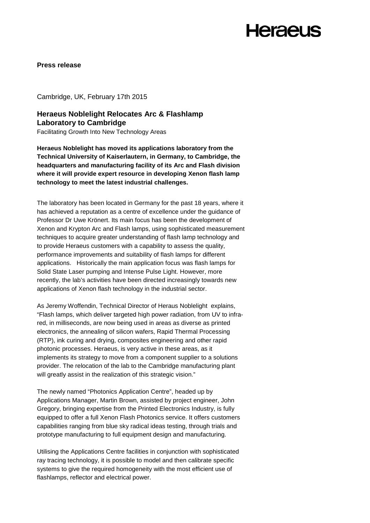## **Heraeus**

**Press release**

Cambridge, UK, February 17th 2015

### **Heraeus Noblelight Relocates Arc & Flashlamp Laboratory to Cambridge**

Facilitating Growth Into New Technology Areas

**Heraeus Noblelight has moved its applications laboratory from the Technical University of Kaiserlautern, in Germany, to Cambridge, the headquarters and manufacturing facility of its Arc and Flash division where it will provide expert resource in developing Xenon flash lamp technology to meet the latest industrial challenges.**

The laboratory has been located in Germany for the past 18 years, where it has achieved a reputation as a centre of excellence under the guidance of Professor Dr Uwe Krönert. Its main focus has been the development of Xenon and Krypton Arc and Flash lamps, using sophisticated measurement techniques to acquire greater understanding of flash lamp technology and to provide Heraeus customers with a capability to assess the quality, performance improvements and suitability of flash lamps for different applications. Historically the main application focus was flash lamps for Solid State Laser pumping and Intense Pulse Light. However, more recently, the lab's activities have been directed increasingly towards new applications of Xenon flash technology in the industrial sector.

As Jeremy Woffendin, Technical Director of Heraus Noblelight explains, "Flash lamps, which deliver targeted high power radiation, from UV to infrared, in milliseconds, are now being used in areas as diverse as printed electronics, the annealing of silicon wafers, Rapid Thermal Processing (RTP), ink curing and drying, composites engineering and other rapid photonic processes. Heraeus, is very active in these areas, as it implements its strategy to move from a component supplier to a solutions provider. The relocation of the lab to the Cambridge manufacturing plant will greatly assist in the realization of this strategic vision."

The newly named "Photonics Application Centre", headed up by Applications Manager, Martin Brown, assisted by project engineer, John Gregory, bringing expertise from the Printed Electronics Industry, is fully equipped to offer a full Xenon Flash Photonics service. It offers customers capabilities ranging from blue sky radical ideas testing, through trials and prototype manufacturing to full equipment design and manufacturing.

Utilising the Applications Centre facilities in conjunction with sophisticated ray tracing technology, it is possible to model and then calibrate specific systems to give the required homogeneity with the most efficient use of flashlamps, reflector and electrical power.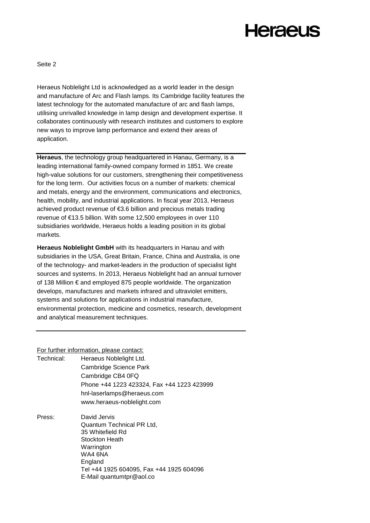# **Heraeus**

Seite 2

Heraeus Noblelight Ltd is acknowledged as a world leader in the design and manufacture of Arc and Flash lamps. Its Cambridge facility features the latest technology for the automated manufacture of arc and flash lamps, utilising unrivalled knowledge in lamp design and development expertise. It collaborates continuously with research institutes and customers to explore new ways to improve lamp performance and extend their areas of application.

**Heraeus**, the technology group headquartered in Hanau, Germany, is a leading international family-owned company formed in 1851. We create high-value solutions for our customers, strengthening their competitiveness for the long term. Our activities focus on a number of markets: chemical and metals, energy and the environment, communications and electronics, health, mobility, and industrial applications. In fiscal year 2013, Heraeus achieved product revenue of €3.6 billion and precious metals trading revenue of €13.5 billion. With some 12,500 employees in over 110 subsidiaries worldwide, Heraeus holds a leading position in its global markets.

**Heraeus Noblelight GmbH** with its headquarters in Hanau and with subsidiaries in the USA, Great Britain, France, China and Australia, is one of the technology- and market-leaders in the production of specialist light sources and systems. In 2013, Heraeus Noblelight had an annual turnover of 138 Million € and employed 875 people worldwide. The organization develops, manufactures and markets infrared and ultraviolet emitters, systems and solutions for applications in industrial manufacture, environmental protection, medicine and cosmetics, research, development and analytical measurement techniques.

#### For further information, please contact:

| Technical: | Heraeus Noblelight Ltd.                                                         |
|------------|---------------------------------------------------------------------------------|
|            | Cambridge Science Park                                                          |
|            | Cambridge CB4 0FQ                                                               |
|            | Phone +44 1223 423324, Fax +44 1223 423999                                      |
|            | hnl-laserlamps@heraeus.com                                                      |
|            | www.heraeus-noblelight.com                                                      |
| Press:     | David Jervis                                                                    |
|            | Quantum Technical PR Ltd,                                                       |
|            | 35 Whitefield Rd                                                                |
|            | Stockton Heath                                                                  |
|            | Warrington                                                                      |
|            | WA4 6NA                                                                         |
|            | England<br>Tel +44 1925 604095, Fax +44 1925 604096<br>E-Mail quantumtpr@aol.co |
|            |                                                                                 |